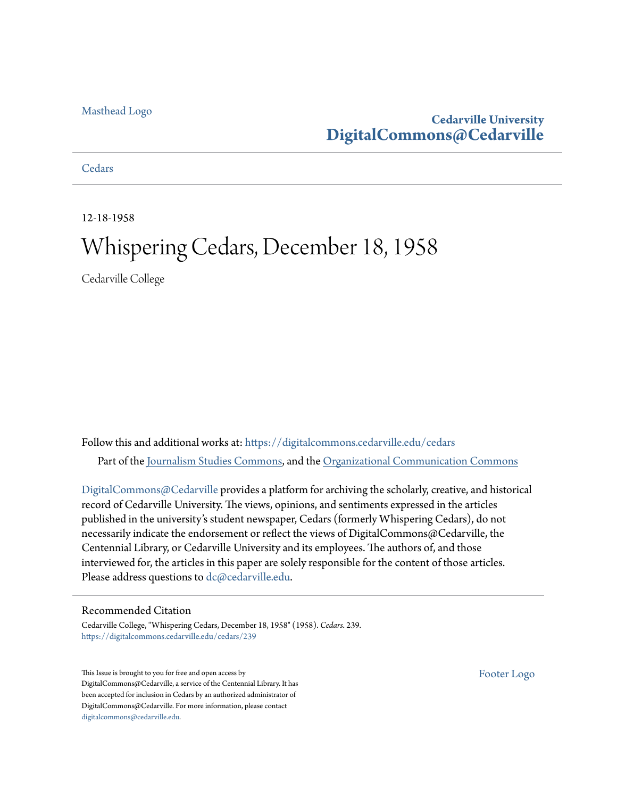#### [Masthead Logo](http://www.cedarville.edu/?utm_source=digitalcommons.cedarville.edu%2Fcedars%2F239&utm_medium=PDF&utm_campaign=PDFCoverPages)

# **Cedarville University [DigitalCommons@Cedarville](https://digitalcommons.cedarville.edu?utm_source=digitalcommons.cedarville.edu%2Fcedars%2F239&utm_medium=PDF&utm_campaign=PDFCoverPages)**

#### **[Cedars](https://digitalcommons.cedarville.edu/cedars?utm_source=digitalcommons.cedarville.edu%2Fcedars%2F239&utm_medium=PDF&utm_campaign=PDFCoverPages)**

12-18-1958

# Whispering Cedars, December 18, 1958

Cedarville College

Follow this and additional works at: [https://digitalcommons.cedarville.edu/cedars](https://digitalcommons.cedarville.edu/cedars?utm_source=digitalcommons.cedarville.edu%2Fcedars%2F239&utm_medium=PDF&utm_campaign=PDFCoverPages) Part of the [Journalism Studies Commons](http://network.bepress.com/hgg/discipline/333?utm_source=digitalcommons.cedarville.edu%2Fcedars%2F239&utm_medium=PDF&utm_campaign=PDFCoverPages), and the [Organizational Communication Commons](http://network.bepress.com/hgg/discipline/335?utm_source=digitalcommons.cedarville.edu%2Fcedars%2F239&utm_medium=PDF&utm_campaign=PDFCoverPages)

[DigitalCommons@Cedarville](http://digitalcommons.cedarville.edu/) provides a platform for archiving the scholarly, creative, and historical record of Cedarville University. The views, opinions, and sentiments expressed in the articles published in the university's student newspaper, Cedars (formerly Whispering Cedars), do not necessarily indicate the endorsement or reflect the views of DigitalCommons@Cedarville, the Centennial Library, or Cedarville University and its employees. The authors of, and those interviewed for, the articles in this paper are solely responsible for the content of those articles. Please address questions to [dc@cedarville.edu.](mailto:dc@cedarville.edu)

#### Recommended Citation

Cedarville College, "Whispering Cedars, December 18, 1958" (1958). *Cedars*. 239. [https://digitalcommons.cedarville.edu/cedars/239](https://digitalcommons.cedarville.edu/cedars/239?utm_source=digitalcommons.cedarville.edu%2Fcedars%2F239&utm_medium=PDF&utm_campaign=PDFCoverPages)

This Issue is brought to you for free and open access by DigitalCommons@Cedarville, a service of the Centennial Library. It has been accepted for inclusion in Cedars by an authorized administrator of DigitalCommons@Cedarville. For more information, please contact [digitalcommons@cedarville.edu](mailto:digitalcommons@cedarville.edu).

[Footer Logo](http://www.cedarville.edu/Academics/Library.aspx?utm_source=digitalcommons.cedarville.edu%2Fcedars%2F239&utm_medium=PDF&utm_campaign=PDFCoverPages)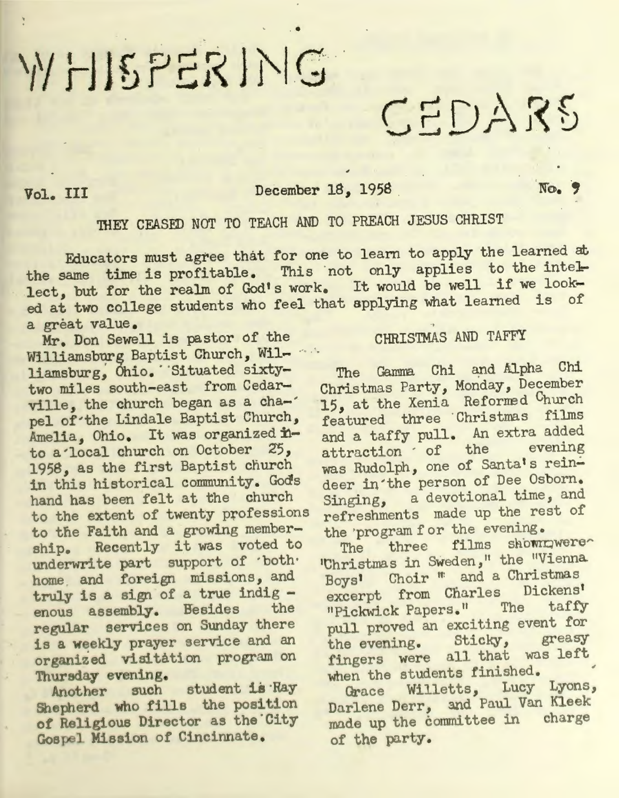# WHISPERING

# Vol. III December 18, 1958

No.

# THEY CEASED NOT TO TEACH AND TO PREACH JESUS CHRIST

..

Educators must agree that for one to learn to apply the learned at the same time is profitable. This not only applies to the intellect, but for the realm of God's work. It would be well if we looked at two college students who feel that applying what learned is of a gréat value.

Mr. Don Sewell is pastor cf the Williamsburg Baptist Church, Williamsburg, Chio. Situated sixtytwo miles south-east from Cedarville, the church began as a cha-' pel of'the Lindale Baptist Church, Amelia, Ohio. It was organized into a'local church on October *Z5,*  1958, as the first Baptist church in this historical community. Gods hand has been felt at the church to the extent of twenty professions to the Faith and a growing membership. Recently it was voted to underwrite part support of ·both· home and foreign missions, and truly is a sign of a true indig -<br>enous assembly. Besides the regular services on Sunday there is a weekly prayer service and an organized visitation program on Thursday evening.

Another such student is Ray Shepherd who fills the position of Religious Director as the City Gospel Mission of Cincinnate.

# CHRISTMAS AND TAFFY

CEDARS

The Gamma Chi and Alpha Chi Christmas Party, Monday, December 15, at the Xenia Reformed Church featured three Christmas films and a taffy pull. An extra added attraction of the was Rudolph, one of Santa's reindeer in'the person of Dee Osborn. Singing, a devotional time, and refreshments made up the rest of the *'program* for the evening.

The three films shownwere 'Uhristmas in Sweden," the "Vienna Boys' Choir " and a Christmas excerpt from Charles Dickens' "Pickwick Papers." The taffy pull proved an exciting event for<br>the evening. Sticky, greasy the evening. Sticky, greasy fingers were all that was left when the students finished.

Grace Willetts, Lucy Lyons, Darlene Derr, and Paul Van Kleek made up the committee in charge of the party.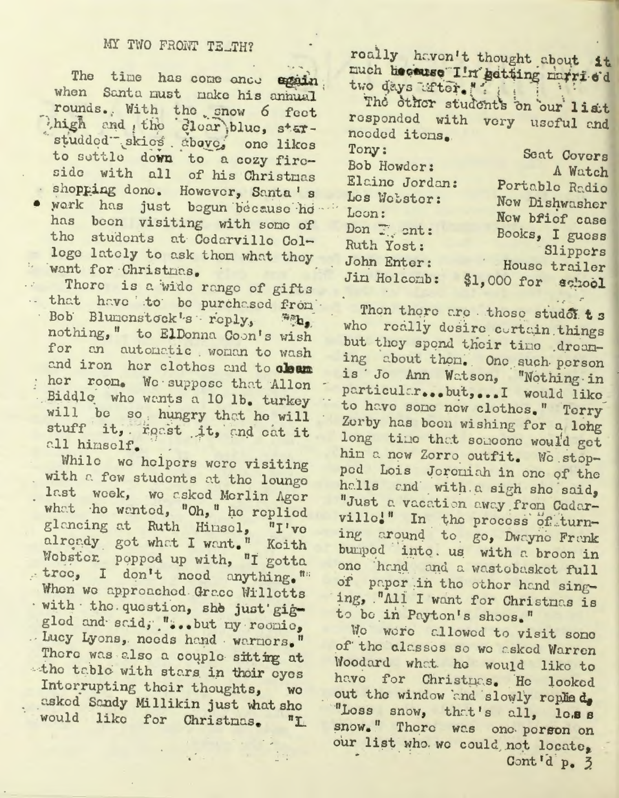# MY TWO FRONT TE\_TH?

The time has come ande egain when Santa must nake his annual rounds. With the snow 6 feet high and the clear blue, starstudded skies above, one likes to settle down to a cozy fireside with all of his Christmas · shopping done. However, Santa's · work has just bogun because ho has been visiting with some of the students at Cedarville Colloge lately to ask them what they want for Christmas.

.. There is a wide range of gifts .. that have to be purchased from Bob Blumonstock's roply, "A, nothing," to ElDonna Coon's wish for an automatic woman to wash and iron her clothes and to clean her room. We suppose that Allen Biddle who wants a 10 lb. turkey will be so, hungry that he will stuff it, roast it, and out it all himself.

While we helpers were visiting with a few students at the lounge last week, we asked Merlin Ager what he wanted, "Oh," he replied glancing at Ruth Hinsel, "I've alroady got what I want." Koith Wobster popped up with, "I gotta troe, I don't need anything." When we approached Grace Willetts · with the question, she just gigglod and said; "...but my roomic, . Lucy Lyons, needs hand warmors." There was also a couple sitting at the table with stars in their eyes Interrupting their thoughts, WO asked Sandy Millikin just what she would like for Christmas.  $n_{\mathbf{L}}$ 

roally haven't thought about it much heceuse I'm getting married two days after."

The other students on our list responded with very useful and needed items.

| Tony:          | Seat Covers        |
|----------------|--------------------|
| Bob Howder:    | A Watch            |
| Elaine Jordan: | Portable Radio     |
| Les Webster:   | New Dishwasher     |
| Loon:          | New bfief case     |
| Don Thent:     | Books, I guess     |
| Ruth Yost:     | Slippers           |
| John Enter:    | House trailer      |
| Jim Holcomb:   | \$1,000 for school |

Then there are those studest s who really desire cortain things but they spend their time dreaming about them. One such person is Jo Ann Watson, "Nothing in particular...but,...I would like to have some new clothes." Terry Zerby has been wishing for a long long time that someone would get him a new Zorro outfit. We stoppod Lois Jereniah in one of the halls and with a sigh she said, "Just a vacation away from Codarville!" In the process of turning around to go, Dwayne Frank bumped into. us with a broon in one hand and a wastobasket full of paper in the other hand singing, "All I want for Christnas is to be in Payton's shoos."

We were allowed to visit some of the classes so we asked Warren Woodard what he would like to have for Christnas. He looked out the window and slowly replied, "Loss snow, that's all, loss snow." There was one person on our list who we could not locate. Cont'd p. 3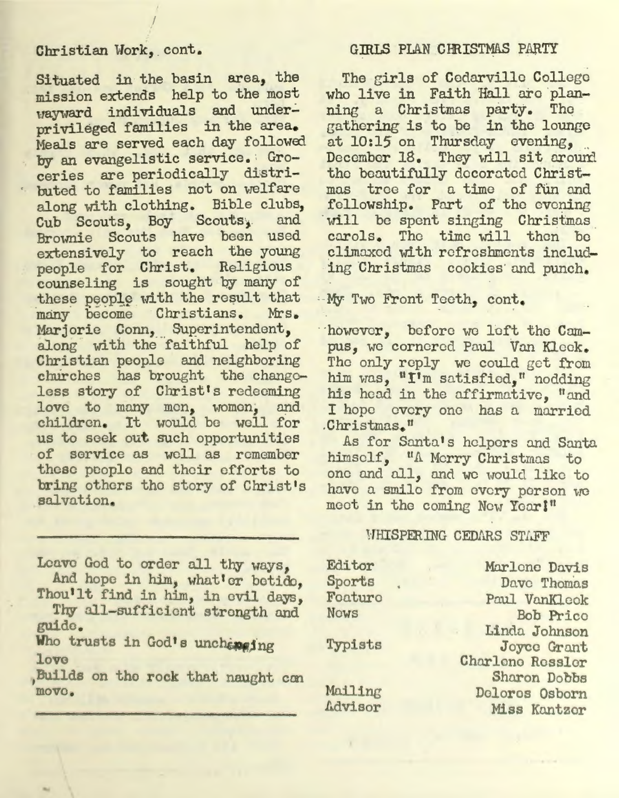# Christian Work, cont.

I

Situated in the basin area, the mission extends help to the most wayward individuals and underprivileged families in the area. Meals are served each day followed by an evangelistic service. : Groceries are periodically distributed to families not on welfare along with clothing. Bible clubs, Cub Scouts, Boy Scouts, and Brownie Scouts have been used extensively to reach the young people for Christ. Religious counseling is sought by many of these people with the result that many become Christians. Marjorie Conn, Superintendent, along with the faithful help of Christian people and neighboring churches has brought the change-<br>less story of Christ's redeeming love to many men, women, and children. It would be well for us to seek out such opportunities of service as well as remember these people and their efforts to bring others tho story of Christ's salvation.

Leave God to order all thy ways, And hope in him, what'er betide.

Thou'lt find in him, in evil days, Thy all-sufficient strength and guide

Who trusts in God's unchapping love

Builds on tho rock that naught con move.

#### GIRLS PLAN CHRISTMAS PARTY

The girls of Cedarville College who live in Faith Hall are planning a Christmas party. The gathering is to be in the lounge at  $10:15$  on Thursday evening, December 18. They will sit around the beautifully decorated Christmas tree for a time of fun and<br>fellowship. Part of the evening will be spent singing Christmas carols. The time will then be climaxed with refreshments includ-<br>ing Christmas cookies and punch.

· -My Two Front Teeth, cont.

··however, before we loft the Cmnpus, we cornered Paul Van Kleek. The only reply we could get from him was, "I'm satisfied." nodding his head in the affirmative, "and I hope every one has a married.<br>Christmas.<sup>"</sup>

As for Santa's helpers and Santa himself, "A Morry Christmas to one and all, and we would like to have *a* smile from every person we meet in the coming New Year!"

#### WHISPERING CEDARS STAFF

Editor Sports Foaturo Nows Typists Mailing

I~dvisor

Marlene Davis Dave Thomas Paul VanKlcok Bob Price Lindo. Johnson Joyce GTant Charleno Ressler Sharon Dobbs Delores Osborn Miss Kantzor